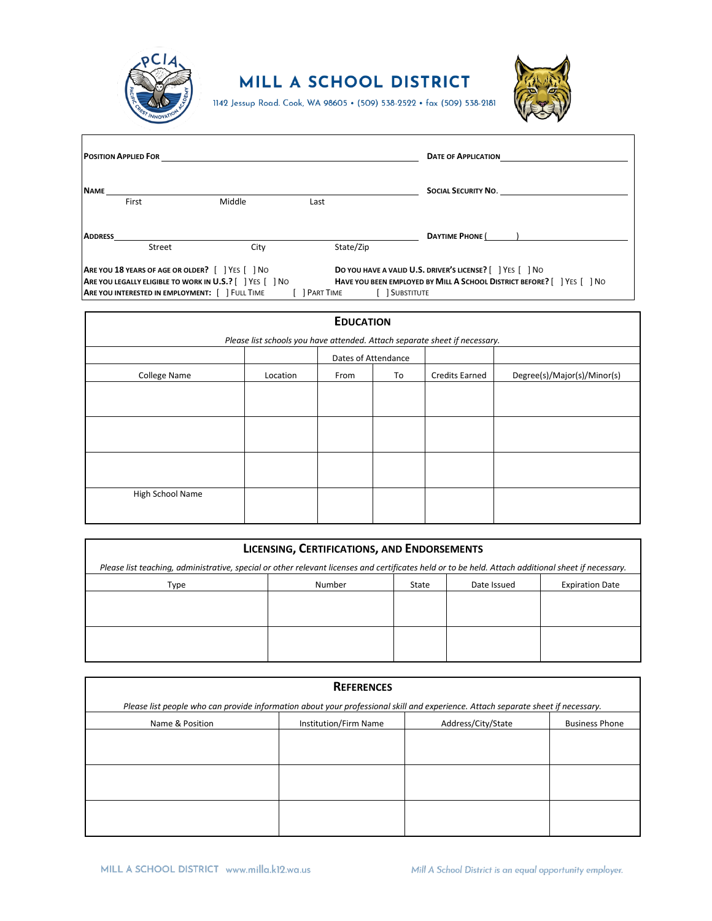

 $\overline{1}$ 

## MILL A SCHOOL DISTRICT

1142 Jessup Road. Cook, WA 98605 • (509) 538-2522 • fax (509) 538-2181



| <b>POSITION APPLIED FOR</b> |                                                                                                                                                                    |        |               | <b>DATE OF APPLICATION</b> |                                                                                                                                      |
|-----------------------------|--------------------------------------------------------------------------------------------------------------------------------------------------------------------|--------|---------------|----------------------------|--------------------------------------------------------------------------------------------------------------------------------------|
| <b>NAME</b>                 | First                                                                                                                                                              | Middle | Last          |                            | SOCIAL SECURITY NO.                                                                                                                  |
| <b>ADDRESS</b>              | Street                                                                                                                                                             | City   |               | State/Zip                  | DAYTIME PHONE ( )                                                                                                                    |
|                             | <b>ARE YOU 18 YEARS OF AGE OR OLDER?</b>   YES   NO<br>ARE YOU LEGALLY ELIGIBLE TO WORK IN U.S.?     YES     NO<br>ARE YOU INTERESTED IN EMPLOYMENT: [ ] FULL TIME |        | [ ] PART TIME | [ ] SUBSTITUTE             | DO YOU HAVE A VALID U.S. DRIVER'S LICENSE?     YES     NO<br>HAVE YOU BEEN EMPLOYED BY MILL A SCHOOL DISTRICT BEFORE? [ ] YES [ ] NO |

| <b>EDUCATION</b>                                                           |          |                     |    |                       |                             |  |
|----------------------------------------------------------------------------|----------|---------------------|----|-----------------------|-----------------------------|--|
| Please list schools you have attended. Attach separate sheet if necessary. |          |                     |    |                       |                             |  |
|                                                                            |          | Dates of Attendance |    |                       |                             |  |
| College Name                                                               | Location | From                | To | <b>Credits Earned</b> | Degree(s)/Major(s)/Minor(s) |  |
|                                                                            |          |                     |    |                       |                             |  |
|                                                                            |          |                     |    |                       |                             |  |
|                                                                            |          |                     |    |                       |                             |  |
|                                                                            |          |                     |    |                       |                             |  |
|                                                                            |          |                     |    |                       |                             |  |
|                                                                            |          |                     |    |                       |                             |  |
| High School Name                                                           |          |                     |    |                       |                             |  |
|                                                                            |          |                     |    |                       |                             |  |

| LICENSING, CERTIFICATIONS, AND ENDORSEMENTS                                                                                                         |        |       |             |                        |
|-----------------------------------------------------------------------------------------------------------------------------------------------------|--------|-------|-------------|------------------------|
| Please list teaching, administrative, special or other relevant licenses and certificates held or to be held. Attach additional sheet if necessary. |        |       |             |                        |
| Type                                                                                                                                                | Number | State | Date Issued | <b>Expiration Date</b> |
|                                                                                                                                                     |        |       |             |                        |
|                                                                                                                                                     |        |       |             |                        |
|                                                                                                                                                     |        |       |             |                        |
|                                                                                                                                                     |        |       |             |                        |

| <b>REFERENCES</b>                                                                                                                |                       |                    |                       |  |  |
|----------------------------------------------------------------------------------------------------------------------------------|-----------------------|--------------------|-----------------------|--|--|
| Please list people who can provide information about your professional skill and experience. Attach separate sheet if necessary. |                       |                    |                       |  |  |
| Name & Position                                                                                                                  | Institution/Firm Name | Address/City/State | <b>Business Phone</b> |  |  |
|                                                                                                                                  |                       |                    |                       |  |  |
|                                                                                                                                  |                       |                    |                       |  |  |
|                                                                                                                                  |                       |                    |                       |  |  |
|                                                                                                                                  |                       |                    |                       |  |  |
|                                                                                                                                  |                       |                    |                       |  |  |
|                                                                                                                                  |                       |                    |                       |  |  |